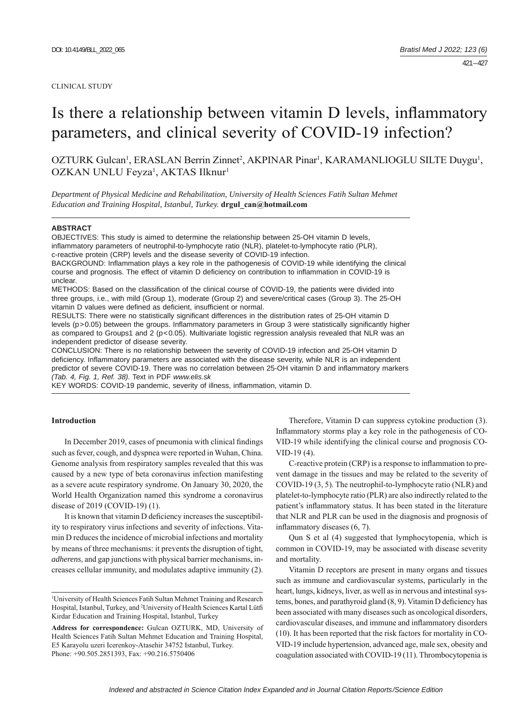#### CLINICAL STUDY

# Is there a relationship between vitamin D levels, inflammatory parameters, and clinical severity of COVID-19 infection?

OZTURK Gulcan<sup>1</sup>, ERASLAN Berrin Zinnet<sup>2</sup>, AKPINAR Pinar<sup>1</sup>, KARAMANLIOGLU SILTE Duygu<sup>1</sup>, OZKAN UNLU Feyza<sup>1</sup>, AKTAS Ilknur<sup>1</sup>

*Department of Physical Medicine and Rehabilitation, University of Health Sciences Fatih Sultan Mehmet Education and Training Hospital, Istanbul, Turkey.* **drgul\_can@hotmail.com**

#### **ABSTRACT**

OBJECTIVES: This study is aimed to determine the relationship between 25-OH vitamin D levels, inflammatory parameters of neutrophil-to-lymphocyte ratio (NLR), platelet-to-lymphocyte ratio (PLR), c-reactive protein (CRP) levels and the disease severity of COVID-19 infection. BACKGROUND: Inflammation plays a key role in the pathogenesis of COVID-19 while identifying the clinical

course and prognosis. The effect of vitamin D deficiency on contribution to inflammation in COVID-19 is unclear.

METHODS: Based on the classification of the clinical course of COVID-19, the patients were divided into three groups, i.e., with mild (Group 1), moderate (Group 2) and severe/critical cases (Group 3). The 25-OH vitamin D values were defined as deficient, insufficient or normal.

RESULTS: There were no statistically significant differences in the distribution rates of 25-OH vitamin D levels  $(p>0.05)$  between the groups. Inflammatory parameters in Group 3 were statistically significantly higher as compared to Groups1 and 2 (p<0.05). Multivariate logistic regression analysis revealed that NLR was an independent predictor of disease severity.

CONCLUSION: There is no relationship between the severity of COVID-19 infection and 25-OH vitamin D deficiency. Inflammatory parameters are associated with the disease severity, while NLR is an independent predictor of severe COVID-19. There was no correlation between 25-OH vitamin D and inflammatory markers *(Tab. 4, Fig. 1, Ref. 38).* Text in PDF *www.elis.sk*

KEY WORDS: COVID-19 pandemic, severity of illness, inflammation, vitamin D.

## **Introduction**

In December 2019, cases of pneumonia with clinical findings such as fever, cough, and dyspnea were reported in Wuhan, China. Genome analysis from respiratory samples revealed that this was caused by a new type of beta coronavirus infection manifesting as a severe acute respiratory syndrome. On January 30, 2020, the World Health Organization named this syndrome a coronavirus disease of 2019 (COVID-19) (1).

It is known that vitamin D deficiency increases the susceptibility to respiratory virus infections and severity of infections. Vitamin D reduces the incidence of microbial infections and mortality by means of three mechanisms: it prevents the disruption of tight, *adherens*, and gap junctions with physical barrier mechanisms, increases cellular immunity, and modulates adaptive immunity (2).

Therefore, Vitamin D can suppress cytokine production (3). Inflammatory storms play a key role in the pathogenesis of CO-VID-19 while identifying the clinical course and prognosis CO-VID-19 (4).

C-reactive protein (CRP) is a response to inflammation to prevent damage in the tissues and may be related to the severity of COVID-19 (3, 5). The neutrophil-to-lymphocyte ratio (NLR) and platelet-to-lymphocyte ratio (PLR) are also indirectly related to the patient's inflammatory status. It has been stated in the literature that NLR and PLR can be used in the diagnosis and prognosis of inflammatory diseases  $(6, 7)$ .

Qun S et al (4) suggested that lymphocytopenia, which is common in COVID-19, may be associated with disease severity and mortality.

Vitamin D receptors are present in many organs and tissues such as immune and cardiovascular systems, particularly in the heart, lungs, kidneys, liver, as well as in nervous and intestinal systems, bones, and parathyroid gland  $(8, 9)$ . Vitamin D deficiency has been associated with many diseases such as oncological disorders, cardiovascular diseases, and immune and inflammatory disorders (10). It has been reported that the risk factors for mortality in CO-VID-19 include hypertension, advanced age, male sex, obesity and coagulation associated with COVID-19 (11). Thrombocytopenia is

<sup>1</sup> University of Health Sciences Fatih Sultan Mehmet Training and Research Hospital, Istanbul, Turkey, and <sup>2</sup>University of Health Sciences Kartal Lütfi Kirdar Education and Training Hospital, Istanbul, Turkey

**Address for correspondence:** Gulcan OZTURK, MD, University of Health Sciences Fatih Sultan Mehmet Education and Training Hospital, E5 Karayolu uzeri Icerenkoy-Atasehir 34752 Istanbul, Turkey. Phone: +90.505.2851393, Fax: +90.216.5750406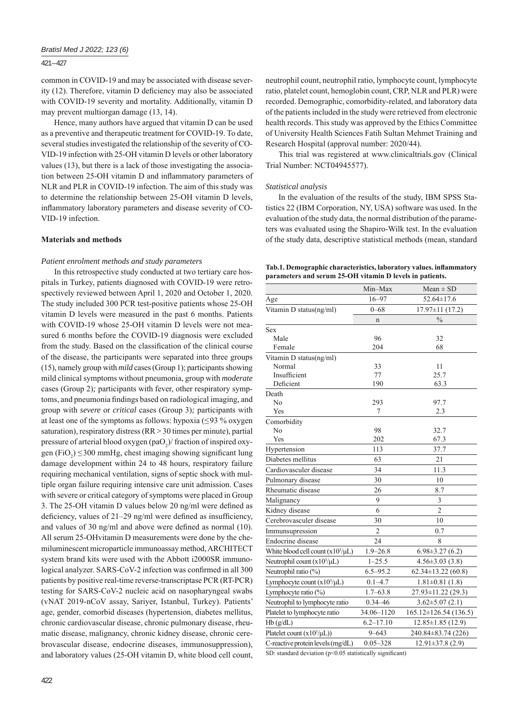## 421 – 427

common in COVID-19 and may be associated with disease severity (12). Therefore, vitamin D deficiency may also be associated with COVID-19 severity and mortality. Additionally, vitamin D may prevent multiorgan damage (13, 14).

Hence, many authors have argued that vitamin D can be used as a preventive and therapeutic treatment for COVID-19. To date, several studies investigated the relationship of the severity of CO-VID-19 infection with 25-OH vitamin D levels or other laboratory values (13), but there is a lack of those investigating the association between 25-OH vitamin D and inflammatory parameters of NLR and PLR in COVID-19 infection. The aim of this study was to determine the relationship between 25-OH vitamin D levels, inflammatory laboratory parameters and disease severity of CO-VID-19 infection.

## **Materials and methods**

## *Patient enrolment methods and study parameters*

In this retrospective study conducted at two tertiary care hospitals in Turkey, patients diagnosed with COVID-19 were retrospectively reviewed between April 1, 2020 and October 1, 2020. The study included 300 PCR test-positive patients whose 25-OH vitamin D levels were measured in the past 6 months. Patients with COVID-19 whose 25-OH vitamin D levels were not measured 6 months before the COVID-19 diagnosis were excluded from the study. Based on the classification of the clinical course of the disease, the participants were separated into three groups (15), namely group with *mild* cases(Group 1); participants showing mild clinical symptoms without pneumonia, group with *moderate*  cases (Group 2)*;* participants with fever, other respiratory symptoms, and pneumonia findings based on radiological imaging, and group with *severe* or *critical* cases (Group 3)*;* participants with at least one of the symptoms as follows: hypoxia ( $\leq$ 93 % oxygen saturation), respiratory distress (RR*>*30 times per minute), partial pressure of arterial blood oxygen  $(pa_2$ )/ fraction of inspired oxygen  $(FiO_2) \leq 300$  mmHg, chest imaging showing significant lung damage development within 24 to 48 hours, respiratory failure requiring mechanical ventilation, signs of septic shock with multiple organ failure requiring intensive care unit admission. Cases with severe or critical category of symptoms were placed in Group 3. The 25-OH vitamin D values below 20 ng/ml were defined as deficiency, values of  $21-29$  ng/ml were defined as insufficiency, and values of 30 ng/ml and above were defined as normal  $(10)$ . All serum 25-OHvitamin D measurements were done by the chemiluminescent microparticle immunoassay method, ARCHITECT system brand kits were used with the Abbott i2000SR immunological analyzer. SARS-CoV-2 infection was confirmed in all 300 patients by positive real-time reverse-transcriptase PCR (RT-PCR) testing for SARS-CoV-2 nucleic acid on nasopharyngeal swabs (vNAT 2019-nCoV assay, Sariyer, Istanbul, Turkey). Patients' age, gender, comorbid diseases (hypertension, diabetes mellitus, chronic cardiovascular disease, chronic pulmonary disease, rheumatic disease, malignancy, chronic kidney disease, chronic cerebrovascular disease, endocrine diseases, immunosuppression), and laboratory values (25-OH vitamin D, white blood cell count,

neutrophil count, neutrophil ratio, lymphocyte count, lymphocyte ratio, platelet count, hemoglobin count, CRP, NLR and PLR) were recorded. Demographic, comorbidity-related, and laboratory data of the patients included in the study were retrieved from electronic health records. This study was approved by the Ethics Committee of University Health Sciences Fatih Sultan Mehmet Training and Research Hospital (approval number: 2020/44).

This trial was registered at www.clinicaltrials.gov (Clinical Trial Number: NCT04945577).

## *Statistical analysis*

In the evaluation of the results of the study, IBM SPSS Statistics 22 (IBM Corporation, NY, USA) software was used. In the evaluation of the study data, the normal distribution of the parameters was evaluated using the Shapiro-Wilk test. In the evaluation of the study data, descriptive statistical methods (mean, standard

Tab.1. Demographic characteristics, laboratory values. inflammatory **parameters and serum 25-OH vitamin D levels in patients.**

|                                        | Min-Max        | $Mean \pm SD$            |
|----------------------------------------|----------------|--------------------------|
| Age                                    | $16 - 97$      | 52.64±17.6               |
| Vitamin D status(ng/ml)                | $0 - 68$       | $17.97 \pm 11(17.2)$     |
|                                        | n              | $\frac{0}{0}$            |
| Sex                                    |                |                          |
| Male                                   | 96             | 32                       |
| Female                                 | 204            | 68                       |
| Vitamin D status(ng/ml)                |                |                          |
| Normal                                 | 33             | 11                       |
| Insufficient                           | 77             | 25.7                     |
| Deficient                              | 190            | 63.3                     |
| Death                                  |                |                          |
| No                                     | 293            | 97.7                     |
| Yes                                    | 7              | 2.3                      |
| Comorbidity                            |                |                          |
| No                                     | 98             | 32.7                     |
| Yes                                    | 202            | 67.3                     |
| Hypertension                           | 113            | 37.7                     |
| Diabetes mellitus                      | 63             | 21                       |
| Cardiovasculer disease                 | 34             | 11.3                     |
| Pulmonary disease                      | 30             | 10                       |
| Rheumatic disease                      | 26             | 8.7                      |
| Malignancy                             | 9              | 3                        |
| Kidney disease                         | 6              | $\overline{c}$           |
| Cerebrovasculer disease                | 30             | 10                       |
| Immunsupression                        | $\overline{2}$ | 0.7                      |
| Endocrine disease                      | 24             | 8                        |
| White blood cell count $(x10^3/\mu L)$ | $1.9 - 26.8$   | $6.98 \pm 3.27(6.2)$     |
| Neutrophil count $(x10^3/\mu L)$       | $1 - 25.5$     | $4.56 \pm 3.03$ (3.8)    |
| Neutrophil ratio (%)                   | $6.5 - 95.2$   | $62.34 \pm 13.22$ (60.8) |
| Lymphocyte count $(x10^3/\mu L)$       | $0.1 - 4.7$    | $1.81 \pm 0.81$ (1.8)    |
| Lymphocyte ratio (%)                   | $1.7 - 63.8$   | 27.93±11.22 (29.3)       |
| Neutrophil to lymphocyte ratio         | $0.34 - 46$    | $3.62 \pm 5.07$ (2.1)    |
| Platelet to lymphocyte ratio           | 34.06-1120     | 165.12±126.54 (136.5)    |
| Hb(g/dL)                               | $6.2 - 17.10$  | $12.85 \pm 1.85$ (12.9)  |
| Platelet count $(x10^3/\mu L))$        | $9 - 643$      | 240.84±83.74 (226)       |
| C-reactive protein levels (mg/dL)      | $0.05 - 328$   | $12.91 \pm 37.8$ (2.9)   |

SD: standard deviation ( $p$ <0.05 statistically significant)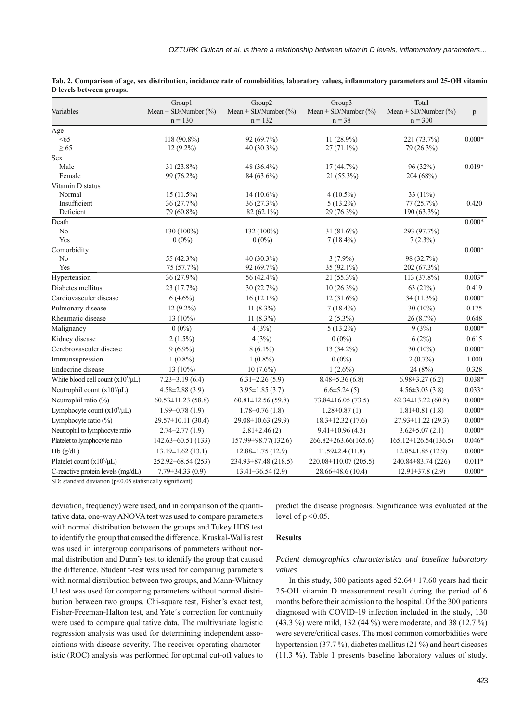|                                        | Group1                   | Group2                     | Group3                      | Total                      |          |
|----------------------------------------|--------------------------|----------------------------|-----------------------------|----------------------------|----------|
| Variables                              | Mean $\pm$ SD/Number (%) | Mean $\pm$ SD/Number (%)   | Mean $\pm$ SD/Number (%)    | Mean $\pm$ SD/Number (%)   | p        |
|                                        | $n = 130$                | $n = 132$                  | $n = 38$                    | $n = 300$                  |          |
| Age                                    |                          |                            |                             |                            |          |
| < 65                                   | 118 (90.8%)              | 92 (69.7%)                 | 11 $(28.9\%)$               | 221 (73.7%)                | $0.000*$ |
| $\geq 65$                              | $12(9.2\%)$              | 40 (30.3%)                 | $27(71.1\%)$                | 79 (26.3%)                 |          |
| Sex                                    |                          |                            |                             |                            |          |
| Male                                   | 31 (23.8%)<br>99 (76.2%) | 48 (36.4%)                 | 17(44.7%)                   | 96 (32%)<br>204 (68%)      | $0.019*$ |
| Female                                 |                          | 84 (63.6%)                 | $21(55.3\%)$                |                            |          |
| Vitamin D status<br>Normal             | $15(11.5\%)$             | $14(10.6\%)$               | $4(10.5\%)$                 | 33 (11%)                   |          |
| Insufficient                           | 36 (27.7%)               | 36 (27.3%)                 | $5(13.2\%)$                 | 77(25.7%)                  | 0.420    |
| Deficient                              | 79 (60.8%)               | 82 (62.1%)                 | 29 (76.3%)                  | 190 (63.3%)                |          |
| Death                                  |                          |                            |                             |                            | $0.000*$ |
| N <sub>o</sub>                         | 130 (100%)               | 132 (100%)                 | 31 (81.6%)                  | 293 (97.7%)                |          |
| Yes                                    | $0(0\%)$                 | $0(0\%)$                   | $7(18.4\%)$                 | $7(2.3\%)$                 |          |
| Comorbidity                            |                          |                            |                             |                            | $0.000*$ |
| N <sub>o</sub>                         | 55 (42.3%)               | 40 (30.3%)                 | $3(7.9\%)$                  | 98 (32.7%)                 |          |
| Yes                                    | 75 (57.7%)               | 92 (69.7%)                 | 35 (92.1%)                  | 202 (67.3%)                |          |
| Hypertension                           | 36 (27.9%)               | 56 (42.4%)                 | 21 (55.3%)                  | 113 (37.8%)                | $0.003*$ |
| Diabetes mellitus                      | 23 (17.7%)               | 30(22.7%)                  | $10(26.3\%)$                | 63 (21%)                   | 0.419    |
| Cardiovasculer disease                 | $6(4.6\%)$               | $16(12.1\%)$               | $12(31.6\%)$                | 34 (11.3%)                 | $0.000*$ |
| Pulmonary disease                      | $12(9.2\%)$              | $11(8.3\%)$                | $7(18.4\%)$                 | $30(10\%)$                 | 0.175    |
| Rheumatic disease                      | $13(10\%)$               | $11(8.3\%)$                | $2(5.3\%)$                  | 26(8.7%)                   | 0.648    |
| Malignancy                             | $0(0\%)$                 | 4(3%)                      | $5(13.2\%)$                 | 9(3%)                      | $0.000*$ |
| Kidney disease                         | $2(1.5\%)$               | 4(3%)                      | $0(0\%)$                    | 6(2%)                      | 0.615    |
| Cerebrovasculer disease                | $9(6.9\%)$               | $8(6.1\%)$                 | 13 (34.2%)                  | $30(10\%)$                 | $0.000*$ |
| Immunsupression                        | $1(0.8\%)$               | $1(0.8\%)$                 | $0(0\%)$                    | $2(0.7\%)$                 | 1.000    |
| Endocrine disease                      | $13(10\%)$               | $10(7.6\%)$                | $1(2.6\%)$                  | 24(8%)                     | 0.328    |
| White blood cell count $(x10^3/\mu L)$ | $7.23 \pm 3.19(6.4)$     | $6.31 \pm 2.26$ (5.9)      | $8.48 \pm 5.36(6.8)$        | $6.98 \pm 3.27(6.2)$       | $0.038*$ |
| Neutrophil count $(x10^3/\mu L)$       | $4.58 \pm 2.88$ (3.9)    | $3.95 \pm 1.85$ (3.7)      | $6.6 \pm 5.24(5)$           | $4.56 \pm 3.03$ (3.8)      | $0.033*$ |
| Neutrophil ratio (%)                   | $60.53 \pm 11.23$ (58.8) | $60.81 \pm 12.56(59.8)$    | $73.84 \pm 16.05(73.5)$     | $62.34 \pm 13.22$ (60.8)   | $0.000*$ |
| Lymphocyte count $(x10^3/\mu L)$       | $1.99 \pm 0.78$ (1.9)    | $1.78 \pm 0.76$ (1.8)      | $1.28 \pm 0.87(1)$          | $1.81 \pm 0.81$ (1.8)      | $0.000*$ |
| Lymphocyte ratio (%)                   | 29.57±10.11 (30.4)       | 29.08±10.63 (29.9)         | $18.3 \pm 12.32(17.6)$      | $27.93 \pm 11.22$ (29.3)   | $0.000*$ |
| Neutrophil to lymphocyte ratio         | $2.74 \pm 2.77(1.9)$     | $2.81 \pm 2.46(2)$         | $9.41 \pm 10.96$ (4.3)      | $3.62 \pm 5.07(2.1)$       | $0.000*$ |
| Platelet to lymphocyte ratio           | $142.63 \pm 60.51$ (133) | 157.99±98.77(132.6)        | $266.82 \pm 263.66(165.6)$  | $165.12 \pm 126.54(136.5)$ | $0.046*$ |
| Hb(g/dL)                               | $13.19 \pm 1.62$ (13.1)  | $12.88 \pm 1.75$ (12.9)    | $11.59 \pm 2.4(11.8)$       | $12.85 \pm 1.85$ (12.9)    | $0.000*$ |
| Platelet count $(x10^3/\mu L)$         | 252.92±68.54 (253)       | $234.93 \pm 87.48$ (218.5) | $220.08 \pm 110.07$ (205.5) | 240.84±83.74 (226)         | $0.011*$ |
| C-reactive protein levels (mg/dL)      | $7.79 \pm 34.33(0.9)$    | $13.41 \pm 36.54$ (2.9)    | $28.66 \pm 48.6$ (10.4)     | $12.91 \pm 37.8$ (2.9)     | $0.000*$ |

|                          | Tab. 2. Comparison of age, sex distribution, incidance rate of comobidities, laboratory values, inflammatory parameters and 25-OH vitamin |  |  |  |
|--------------------------|-------------------------------------------------------------------------------------------------------------------------------------------|--|--|--|
| D levels between groups. |                                                                                                                                           |  |  |  |

SD: standard deviation ( $p$ <0.05 statistically significant)

deviation, frequency) were used, and in comparison of the quantitative data, one-way ANOVA test was used to compare parameters with normal distribution between the groups and Tukey HDS test to identify the group that caused the difference. Kruskal-Wallis test was used in intergroup comparisons of parameters without normal distribution and Dunn's test to identify the group that caused the difference. Student t-test was used for comparing parameters with normal distribution between two groups, and Mann-Whitney U test was used for comparing parameters without normal distribution between two groups. Chi-square test, Fisher's exact test, Fisher-Freeman-Halton test, and Yate´s correction for continuity were used to compare qualitative data. The multivariate logistic regression analysis was used for determining independent associations with disease severity. The receiver operating characteristic (ROC) analysis was performed for optimal cut-off values to

predict the disease prognosis. Significance was evaluated at the level of  $p < 0.05$ .

## **Results**

## *Patient demographics characteristics and baseline laboratory values*

In this study, 300 patients aged  $52.64 \pm 17.60$  years had their 25-OH vitamin D measurement result during the period of 6 months before their admission to the hospital. Of the 300 patients diagnosed with COVID-19 infection included in the study, 130 (43.3 %) were mild, 132 (44 %) were moderate, and 38 (12.7 %) were severe/critical cases. The most common comorbidities were hypertension (37.7 %), diabetes mellitus (21 %) and heart diseases (11.3 %). Table 1 presents baseline laboratory values of study.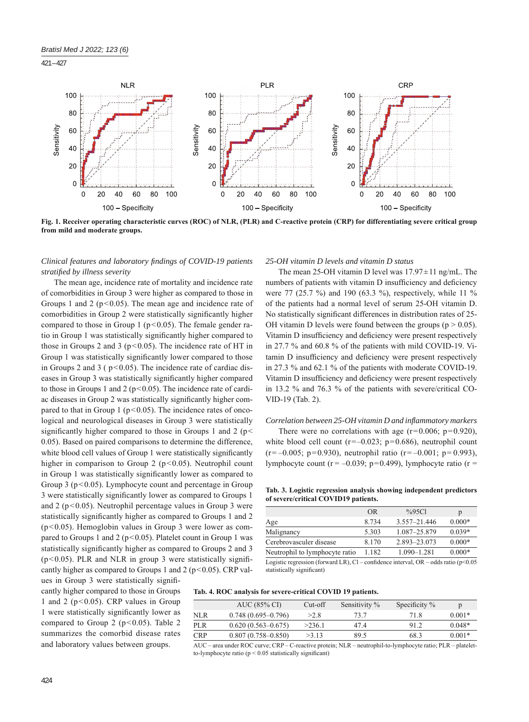421 – 427



**Fig. 1. Receiver operating characteristic curves (ROC) of NLR, (PLR) and C-reactive protein (CRP) for differentiating severe critical group from mild and moderate groups.**

# *Clinical features and laboratory fi ndings of COVID-19 patients stratifi ed by illness severity*

The mean age, incidence rate of mortality and incidence rate of comorbidities in Group 3 were higher as compared to those in Groups 1 and 2 ( $p < 0.05$ ). The mean age and incidence rate of comorbidities in Group 2 were statistically significantly higher compared to those in Group 1 ( $p < 0.05$ ). The female gender ratio in Group 1 was statistically significantly higher compared to those in Groups 2 and 3 ( $p < 0.05$ ). The incidence rate of HT in Group 1 was statistically significantly lower compared to those in Groups 2 and 3 ( $p < 0.05$ ). The incidence rate of cardiac diseases in Group 3 was statistically significantly higher compared to those in Groups 1 and 2 ( $p < 0.05$ ). The incidence rate of cardiac diseases in Group 2 was statistically significantly higher compared to that in Group 1 ( $p$ <0.05). The incidence rates of oncological and neurological diseases in Group 3 were statistically significantly higher compared to those in Groups 1 and 2 ( $p$  < 0.05). Based on paired comparisons to determine the difference, white blood cell values of Group 1 were statistically significantly higher in comparison to Group 2 ( $p$ <0.05). Neutrophil count in Group 1 was statistically significantly lower as compared to Group 3 ( $p$ <0.05). Lymphocyte count and percentage in Group 3 were statistically significantly lower as compared to Groups 1 and 2 ( $p < 0.05$ ). Neutrophil percentage values in Group 3 were statistically significantly higher as compared to Groups 1 and 2  $(p<0.05)$ . Hemoglobin values in Group 3 were lower as compared to Groups 1 and 2 ( $p < 0.05$ ). Platelet count in Group 1 was statistically significantly higher as compared to Groups 2 and 3 ( $p$ <0.05). PLR and NLR in group 3 were statistically significantly higher as compared to Groups 1 and 2 ( $p < 0.05$ ). CRP values in Group 3 were statistically signifi-

cantly higher compared to those in Groups 1 and 2 ( $p < 0.05$ ). CRP values in Group 1 were statistically significantly lower as compared to Group 2 ( $p$ <0.05). Table 2 summarizes the comorbid disease rates and laboratory values between groups.

# *25-OH vitamin D levels and vitamin D status*

The mean 25-OH vitamin D level was  $17.97 \pm 11$  ng/mL. The numbers of patients with vitamin D insufficiency and deficiency were 77 (25.7 %) and 190 (63.3 %), respectively, while 11 % of the patients had a normal level of serum 25-OH vitamin D. No statistically significant differences in distribution rates of 25-OH vitamin D levels were found between the groups ( $p > 0.05$ ). Vitamin D insufficiency and deficiency were present respectively in 27.7 % and 60.8 % of the patients with mild COVID-19. Vitamin D insufficiency and deficiency were present respectively in 27.3 % and 62.1 % of the patients with moderate COVID-19. Vitamin D insufficiency and deficiency were present respectively in 13.2 % and 76.3 % of the patients with severe/critical CO-VID-19 (Tab. 2).

#### *Correlation between 25-OH vitamin D and infl ammatory markers*

There were no correlations with age  $(r=0.006; p=0.920)$ , white blood cell count  $(r=-0.023; p=0.686)$ , neutrophil count  $(r=-0.005; p=0.930)$ , neutrophil ratio  $(r=-0.001; p=0.993)$ . lymphocyte count ( $r = -0.039$ ;  $p=0.499$ ), lymphocyte ratio ( $r =$ 

**Tab. 3. Logistic regression analysis showing independent predictors of severe/critical COVID19 patients.**

| <b>OR</b> | %95Cl            | р        |
|-----------|------------------|----------|
| 8 7 3 4   | $3.557 - 21.446$ | $0.000*$ |
| 5.303     | 1.087-25.879     | $0.039*$ |
| 8.170     | 2.893-23.073     | $0.000*$ |
| 1.182     | $1.090 - 1.281$  | $0.000*$ |
|           |                  |          |

Logistic regression (forward LR), Cl – confidence interval, OR – odds ratio ( $p$  < 0.05 statistically significant)

|  |  |  |  | Tab. 4. ROC analysis for severe-critical COVID 19 patients. |  |  |
|--|--|--|--|-------------------------------------------------------------|--|--|
|--|--|--|--|-------------------------------------------------------------|--|--|

|            | AUC (85% CI)           | Cut-off | Sensitivity % | Specificity % | p        |
|------------|------------------------|---------|---------------|---------------|----------|
| <b>NLR</b> | $0.748(0.695-0.796)$   | >2.8    | 73.7          | 71 8          | $0.001*$ |
| <b>PLR</b> | $0.620(0.563 - 0.675)$ | >236.1  | 47.4          | 912           | $0.048*$ |
| <b>CRP</b> | $0.807(0.758 - 0.850)$ | >3.13   | 89.5          | 68.3          | $0.001*$ |

AUC – area under ROC curve; CRP – C-reactive protein; NLR – neutrophil-to-lymphocyte ratio; PLR – plateletto-lymphocyte ratio ( $p \le 0.05$  statistically significant)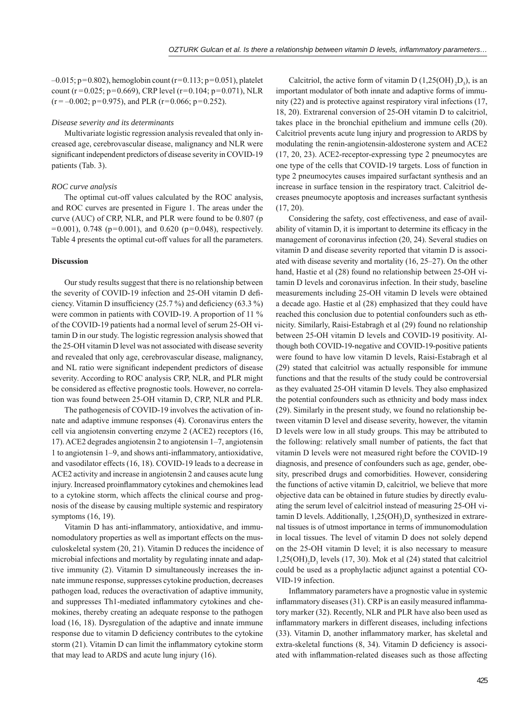$-0.015$ ; p=0.802), hemoglobin count (r=0.113; p=0.051), platelet count (r=0.025; p=0.669), CRP level (r=0.104; p=0.071), NLR  $(r = -0.002; p = 0.975)$ , and PLR  $(r = 0.066; p = 0.252)$ .

#### *Disease severity and its determinants*

Multivariate logistic regression analysis revealed that only increased age, cerebrovascular disease, malignancy and NLR were significant independent predictors of disease severity in COVID-19 patients (Tab. 3).

## *ROC curve analysis*

The optimal cut-off values calculated by the ROC analysis, and ROC curves are presented in Figure 1. The areas under the curve (AUC) of CRP, NLR, and PLR were found to be 0.807 (p  $=0.001$ ), 0.748 (p=0.001), and 0.620 (p=0.048), respectively. Table 4 presents the optimal cut-off values for all the parameters.

## **Discussion**

Our study results suggest that there is no relationship between the severity of COVID-19 infection and 25-OH vitamin D deficiency. Vitamin D insufficiency  $(25.7\%)$  and deficiency  $(63.3\%)$ were common in patients with COVID-19. A proportion of 11 % of the COVID-19 patients had a normal level of serum 25-OH vitamin D in our study. The logistic regression analysis showed that the 25-OH vitamin D level was not associated with disease severity and revealed that only age, cerebrovascular disease, malignancy, and NL ratio were significant independent predictors of disease severity. According to ROC analysis CRP, NLR, and PLR might be considered as effective prognostic tools. However, no correlation was found between 25-OH vitamin D, CRP, NLR and PLR.

The pathogenesis of COVID-19 involves the activation of innate and adaptive immune responses (4). Coronavirus enters the cell via angiotensin converting enzyme 2 (ACE2) receptors (16, 17). ACE2 degrades angiotensin 2 to angiotensin 1–7, angiotensin 1 to angiotensin  $1-9$ , and shows anti-inflammatory, antioxidative, and vasodilator effects (16, 18). COVID-19 leads to a decrease in ACE2 activity and increase in angiotensin 2 and causes acute lung injury. Increased proinflammatory cytokines and chemokines lead to a cytokine storm, which affects the clinical course and prognosis of the disease by causing multiple systemic and respiratory symptoms (16, 19).

Vitamin D has anti-inflammatory, antioxidative, and immunomodulatory properties as well as important effects on the musculoskeletal system (20, 21). Vitamin D reduces the incidence of microbial infections and mortality by regulating innate and adaptive immunity (2). Vitamin D simultaneously increases the innate immune response, suppresses cytokine production, decreases pathogen load, reduces the overactivation of adaptive immunity, and suppresses Th1-mediated inflammatory cytokines and chemokines, thereby creating an adequate response to the pathogen load (16, 18). Dysregulation of the adaptive and innate immune response due to vitamin D deficiency contributes to the cytokine storm (21). Vitamin D can limit the inflammatory cytokine storm that may lead to ARDS and acute lung injury (16).

Calcitriol, the active form of vitamin D  $(1,25(OH), D<sub>3</sub>)$ , is an important modulator of both innate and adaptive forms of immunity (22) and is protective against respiratory viral infections (17, 18, 20). Extrarenal conversion of 25-OH vitamin D to calcitriol, takes place in the bronchial epithelium and immune cells (20). Calcitriol prevents acute lung injury and progression to ARDS by modulating the renin-angiotensin-aldosterone system and ACE2 (17, 20, 23). ACE2-receptor-expressing type 2 pneumocytes are one type of the cells that COVID-19 targets. Loss of function in type 2 pneumocytes causes impaired surfactant synthesis and an increase in surface tension in the respiratory tract. Calcitriol decreases pneumocyte apoptosis and increases surfactant synthesis (17, 20).

Considering the safety, cost effectiveness, and ease of availability of vitamin D, it is important to determine its efficacy in the management of coronavirus infection (20, 24). Several studies on vitamin D and disease severity reported that vitamin D is associated with disease severity and mortality (16, 25–27). On the other hand, Hastie et al (28) found no relationship between 25-OH vitamin D levels and coronavirus infection. In their study, baseline measurements including 25-OH vitamin D levels were obtained a decade ago. Hastie et al (28) emphasized that they could have reached this conclusion due to potential confounders such as ethnicity. Similarly, Raisi-Estabragh et al (29) found no relationship between 25-OH vitamin D levels and COVID-19 positivity. Although both COVID-19-negative and COVID-19-positive patients were found to have low vitamin D levels, Raisi-Estabragh et al (29) stated that calcitriol was actually responsible for immune functions and that the results of the study could be controversial as they evaluated 25-OH vitamin D levels. They also emphasized the potential confounders such as ethnicity and body mass index (29). Similarly in the present study, we found no relationship between vitamin D level and disease severity, however, the vitamin D levels were low in all study groups. This may be attributed to the following: relatively small number of patients, the fact that vitamin D levels were not measured right before the COVID-19 diagnosis, and presence of confounders such as age, gender, obesity, prescribed drugs and comorbidities. However, considering the functions of active vitamin D, calcitriol, we believe that more objective data can be obtained in future studies by directly evaluating the serum level of calcitriol instead of measuring 25-OH vitamin D levels. Additionally,  $1,25(OH)_{2}D_{3}$  synthesized in extrarenal tissues is of utmost importance in terms of immunomodulation in local tissues. The level of vitamin D does not solely depend on the 25-OH vitamin D level; it is also necessary to measure  $1,25(OH)_{2}D_{3}$  levels (17, 30). Mok et al (24) stated that calcitriol could be used as a prophylactic adjunct against a potential CO-VID-19 infection.

Inflammatory parameters have a prognostic value in systemic inflammatory diseases  $(31)$ . CRP is an easily measured inflammatory marker (32). Recently, NLR and PLR have also been used as inflammatory markers in different diseases, including infections (33). Vitamin D, another inflammatory marker, has skeletal and extra-skeletal functions (8, 34). Vitamin D deficiency is associated with inflammation-related diseases such as those affecting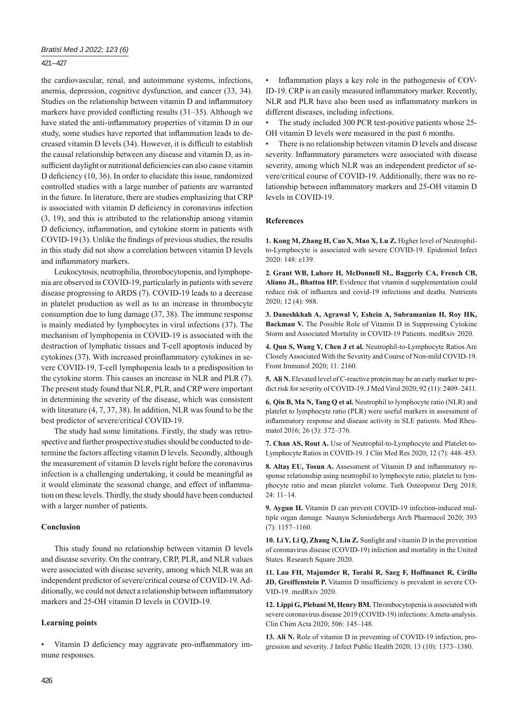## 421 – 427

the cardiovascular, renal, and autoimmune systems, infections, anemia, depression, cognitive dysfunction, and cancer (33, 34). Studies on the relationship between vitamin D and inflammatory markers have provided conflicting results  $(31–35)$ . Although we have stated the anti-inflammatory properties of vitamin D in our study, some studies have reported that inflammation leads to decreased vitamin D levels (34). However, it is difficult to establish the causal relationship between any disease and vitamin D, as insufficient daylight or nutritional deficiencies can also cause vitamin D deficiency  $(10, 36)$ . In order to elucidate this issue, randomized controlled studies with a large number of patients are warranted in the future. In literature, there are studies emphasizing that CRP is associated with vitamin D deficiency in coronavirus infection (3, 19), and this is attributed to the relationship among vitamin D deficiency, inflammation, and cytokine storm in patients with COVID-19 (3). Unlike the findings of previous studies, the results in this study did not show a correlation between vitamin D levels and inflammatory markers.

Leukocytosis, neutrophilia, thrombocytopenia, and lymphopenia are observed in COVID-19, particularly in patients with severe disease progressing to ARDS (7). COVID-19 leads to a decrease in platelet production as well as to an increase in thrombocyte consumption due to lung damage (37, 38). The immune response is mainly mediated by lymphocytes in viral infections (37). The mechanism of lymphopenia in COVID-19 is associated with the destruction of lymphatic tissues and T-cell apoptosis induced by cytokines (37). With increased proinflammatory cytokines in severe COVID-19, T-cell lymphopenia leads to a predisposition to the cytokine storm. This causes an increase in NLR and PLR (7). The present study found that NLR, PLR, and CRP were important in determining the severity of the disease, which was consistent with literature (4, 7, 37, 38). In addition, NLR was found to be the best predictor of severe/critical COVID-19.

The study had some limitations. Firstly, the study was retrospective and further prospective studies should be conducted to determine the factors affecting vitamin D levels. Secondly, although the measurement of vitamin D levels right before the coronavirus infection is a challenging undertaking, it could be meaningful as it would eliminate the seasonal change, and effect of inflammation on these levels. Thirdly, the study should have been conducted with a larger number of patients.

# **Conclusion**

This study found no relationship between vitamin D levels and disease severity. On the contrary, CRP, PLR, and NLR values were associated with disease severity, among which NLR was an independent predictor of severe/critical course of COVID-19. Additionally, we could not detect a relationship between inflammatory markers and 25-OH vitamin D levels in COVID-19.

# **Learning points**

Vitamin D deficiency may aggravate pro-inflammatory immune responses.

Inflammation plays a key role in the pathogenesis of COV-ID-19. CRP is an easily measured inflammatory marker. Recently, NLR and PLR have also been used as inflammatory markers in different diseases, including infections.

The study included 300 PCR test-positive patients whose 25-OH vitamin D levels were measured in the past 6 months.

There is no relationship between vitamin D levels and disease severity. Inflammatory parameters were associated with disease severity, among which NLR was an independent predictor of severe/critical course of COVID-19. Additionally, there was no relationship between inflammatory markers and 25-OH vitamin D levels in COVID-19.

## **References**

**1. Kong M, Zhang H, Cao X, Mao X, Lu Z.** Higher level of Neutrophilto-Lymphocyte is associated with severe COVID-19. Epidemiol Infect 2020: 148: e139.

**2. Grant WB, Lahore H, McDonnell SL, Baggerly CA, French CB, Aliano JL, Bhattoa HP.** Evidence that vitamin d supplementation could reduce risk of influenza and covid-19 infections and deaths. Nutrients 2020; 12 (4): 988.

**3. Daneshkhah A, Agrawal V, Eshein A, Subramanian H, Roy HK, Backman V.** The Possible Role of Vitamin D in Suppressing Cytokine Storm and Associated Mortality in COVID-19 Patients. medRxiv 2020.

**4. Qun S, Wang Y, Chen J et al.** Neutrophil-to-Lymphocyte Ratios Are Closely Associated With the Severity and Course of Non-mild COVID-19. Front Immunol 2020; 11: 2160.

**5. Ali N.** Elevated level of C-reactive protein may be an early marker to predict risk for severity of COVID-19. J Med Virol 2020; 92 (11): 2409–2411.

**6. Qin B, Ma N, Tang Q et al.** Neutrophil to lymphocyte ratio (NLR) and platelet to lymphocyte ratio (PLR) were useful markers in assessment of inflammatory response and disease activity in SLE patients. Mod Rheumatol 2016; 26 (3): 372–376.

**7. Chan AS, Rout A.** Use of Neutrophil-to-Lymphocyte and Platelet-to-Lymphocyte Ratios in COVID-19. J Clin Med Res 2020; 12 (7): 448–453.

8. Altaş EU, Tosun A. Assessment of Vitamin D and inflammatory response relationship using neutrophil to lymphocyte ratio, platelet to lymphocyte ratio and mean platelet volume. Turk Osteoporoz Derg 2018;  $24 \cdot 11 - 14$ 

**9. Aygun H.** Vitamin D can prevent COVID-19 infection-induced multiple organ damage. Naunyn Schmiedebergs Arch Pharmacol 2020; 393 (7): 1157–1160.

**10. Li Y, Li Q, Zhang N, Liu Z.** Sunlight and vitamin D in the prevention of coronavirus disease (COVID-19) infection and mortality in the United States. Research Square 2020.

**11. Lau FH, Majumder R, Torabi R, Saeg F, Hoffmanet R, Cirillo JD, Greiffenstein P.** Vitamin D insufficiency is prevalent in severe CO-VID-19. medRxiv 2020.

**12. Lippi G, Plebani M, Henry BM.** Thrombocytopenia is associated with severe coronavirus disease 2019 (COVID-19) infections: A meta-analysis. Clin Chim Acta 2020; 506: 145–148.

**13. Ali N.** Role of vitamin D in preventing of COVID-19 infection, progression and severity. J Infect Public Health 2020; 13 (10): 1373–1380.